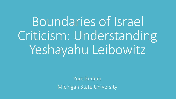Boundaries of Israel Criticism: Understanding Yeshayahu Leibowitz

> Yore Kedem Michigan State University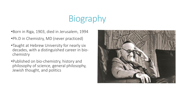# Biography

•Born in Riga, 1903, died in Jerusalem, 1994

- •Ph.D in Chemistry, MD (never practiced)
- •Taught at Hebrew University for nearly six decades, with a distinguished career in biochemistry
- •Published on bio-chemistry, history and philosophy of science, general philosophy, Jewish thought, and politics

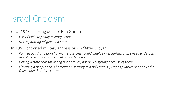### Israel Criticism

Circa 1948, a strong critic of Ben Gurion

- *Use of Bible to justify military action*
- *Not separating religion and State*

In 1953, criticized military aggressions in "After Qibya"

- *Pointed out that before having a state, Jews could indulge in escapism, didn't need to deal with moral consequences of violent action by Jews*
- *Having a state calls for acting upon values, not only suffering because of them*
- *Elevating a people and a homeland's security to a holy status, justifies punitive action like the Qibya, and therefore corrupts*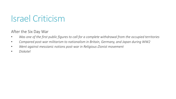### Israel Criticism

After the Six Day War

- *Was one of the first public figures to call for a complete withdrawal from the occupied territories*
- *Compared post-war militarism to nationalism in Britain, Germany, and Japan during WW2*
- *Went against messianic notions post-war in Religious-Zionist movement*
- *Diskotel*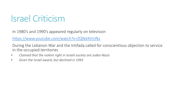## Israel Criticism

In 1980's and 1990's appeared regularly on television

<https://www.youtube.com/watch?v=ZQNd4Vinfks>

During the Lebanon War and the Intifada called for conscientious objection to service in the occupied territories

- *Claimed that the violent right in Israeli society are Judeo-Nazis*
- *Given the Israel award, but declined in 1993*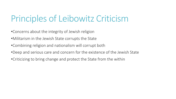### Principles of Leibowitz Criticism

- •Concerns about the integrity of Jewish religion
- •Militarism in the Jewish State corrupts the State
- •Combining religion and nationalism will corrupt both
- •Deep and serious care and concern for the existence of the Jewish State
- •Criticizing to bring change and protect the State from the within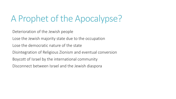## A Prophet of the Apocalypse?

Deterioration of the Jewish people

Lose the Jewish majority state due to the occupation

Lose the democratic nature of the state

Disintegration of Religious Zionism and eventual conversion

Boycott of Israel by the international community

Disconnect between Israel and the Jewish diaspora